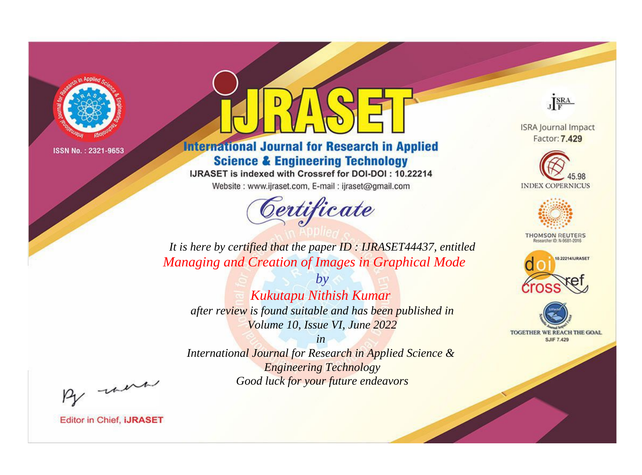

# **International Journal for Research in Applied Science & Engineering Technology**

IJRASET is indexed with Crossref for DOI-DOI: 10.22214

Website: www.ijraset.com, E-mail: ijraset@gmail.com



JERA

**ISRA Journal Impact** Factor: 7.429





**THOMSON REUTERS** 



TOGETHER WE REACH THE GOAL **SJIF 7.429** 

*It is here by certified that the paper ID : IJRASET44437, entitled Managing and Creation of Images in Graphical Mode*

*by Kukutapu Nithish Kumar after review is found suitable and has been published in Volume 10, Issue VI, June 2022*

*in* 

*International Journal for Research in Applied Science & Engineering Technology Good luck for your future endeavors*

By morn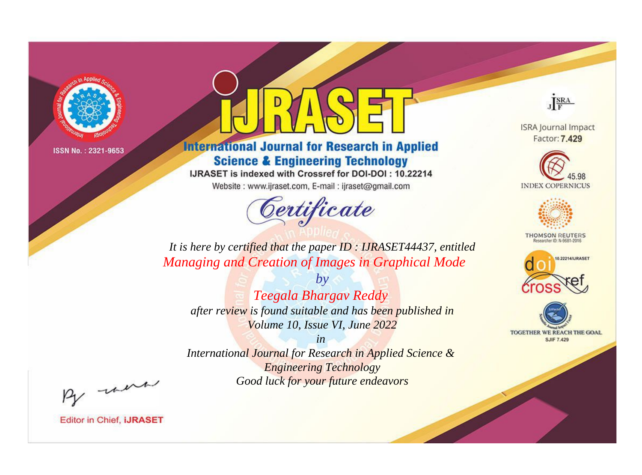

# **International Journal for Research in Applied Science & Engineering Technology**

IJRASET is indexed with Crossref for DOI-DOI: 10.22214

Website: www.ijraset.com, E-mail: ijraset@gmail.com



JERA

**ISRA Journal Impact** Factor: 7.429





**THOMSON REUTERS** 



TOGETHER WE REACH THE GOAL **SJIF 7.429** 

*It is here by certified that the paper ID : IJRASET44437, entitled Managing and Creation of Images in Graphical Mode*

*by Teegala Bhargav Reddy after review is found suitable and has been published in Volume 10, Issue VI, June 2022*

*in International Journal for Research in Applied Science &* 

*Engineering Technology Good luck for your future endeavors*

By morn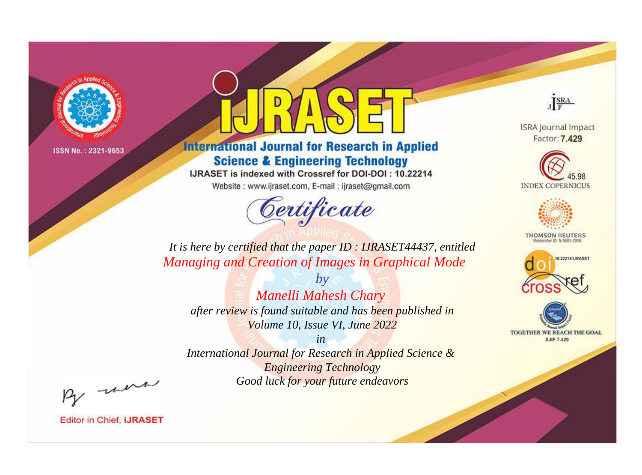

# **International Journal for Research in Applied Science & Engineering Technology**

IJRASET is indexed with Crossref for DOI-DOI: 10.22214

Website: www.ijraset.com, E-mail: ijraset@gmail.com



JERA

**ISRA Journal Impact** Factor: 7.429





**THOMSON REUTERS** 



TOGETHER WE REACH THE GOAL **SJIF 7.429** 

*It is here by certified that the paper ID : IJRASET44437, entitled Managing and Creation of Images in Graphical Mode*

*Manelli Mahesh Chary after review is found suitable and has been published in Volume 10, Issue VI, June 2022*

*by*

*in International Journal for Research in Applied Science & Engineering Technology*

*Good luck for your future endeavors*

By morn